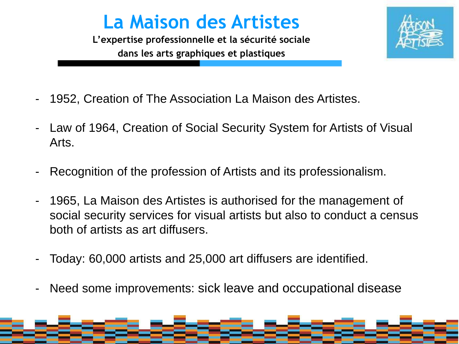## **La Maison des Artistes**

**L'expertise professionnelle et la sécurité sociale dans les arts graphiques et plastiques**

- 1952, Creation of The Association La Maison des Artistes.
- Law of 1964, Creation of Social Security System for Artists of Visual Arts.
- Recognition of the profession of Artists and its professionalism.
- 1965, La Maison des Artistes is authorised for the management of social security services for visual artists but also to conduct a census both of artists as art diffusers.
- Today: 60,000 artists and 25,000 art diffusers are identified.
- Need some improvements: sick leave and occupational disease

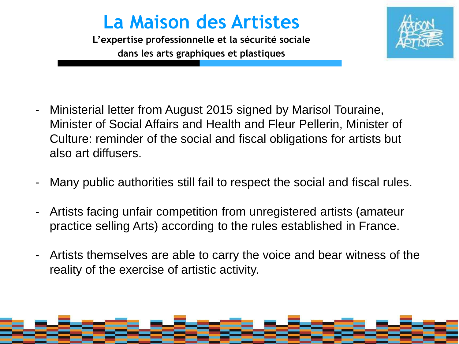## **La Maison des Artistes**

**L'expertise professionnelle et la sécurité sociale dans les arts graphiques et plastiques**



- Ministerial letter from August 2015 signed by Marisol Touraine, Minister of Social Affairs and Health and Fleur Pellerin, Minister of Culture: reminder of the social and fiscal obligations for artists but also art diffusers.
- Many public authorities still fail to respect the social and fiscal rules.
- Artists facing unfair competition from unregistered artists (amateur practice selling Arts) according to the rules established in France.
- Artists themselves are able to carry the voice and bear witness of the reality of the exercise of artistic activity.

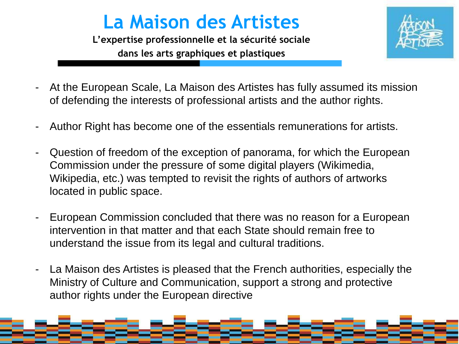## **La Maison des Artistes**

**L'expertise professionnelle et la sécurité sociale dans les arts graphiques et plastiques**



- At the European Scale, La Maison des Artistes has fully assumed its mission of defending the interests of professional artists and the author rights.
- Author Right has become one of the essentials remunerations for artists.
- Question of freedom of the exception of panorama, for which the European Commission under the pressure of some digital players (Wikimedia, Wikipedia, etc.) was tempted to revisit the rights of authors of artworks located in public space.
- European Commission concluded that there was no reason for a European intervention in that matter and that each State should remain free to understand the issue from its legal and cultural traditions.
- La Maison des Artistes is pleased that the French authorities, especially the Ministry of Culture and Communication, support a strong and protective author rights under the European directive

**La Maison des Artistes Stage CNFPT « créer et organiser une exposition » 12/10/10**